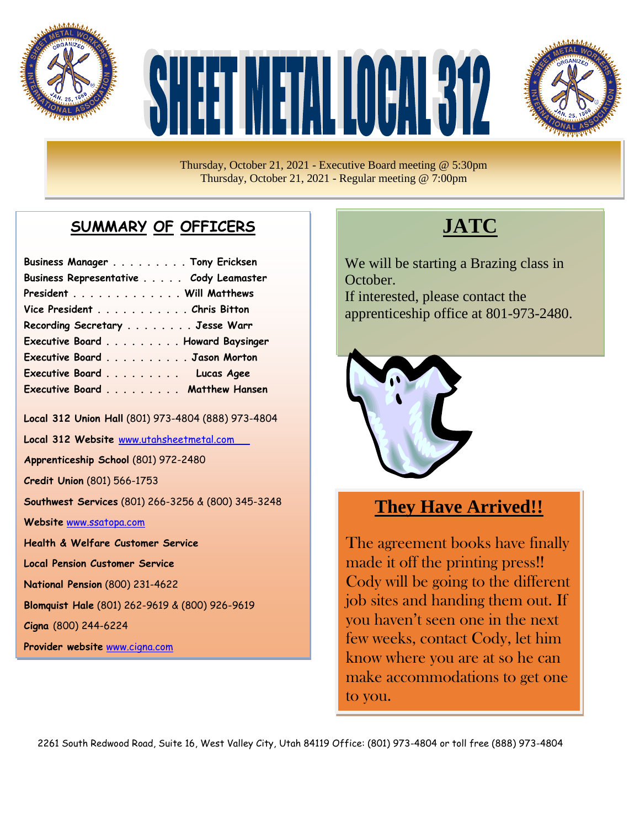

# 



Thursday, October 21, 2021 - Executive Board meeting @ 5:30pm Thursday, October 21, 2021 - Regular meeting @ 7:00pm

#### **SUMMARY OF OFFICERS**

| Business Manager Tony Ericksen         |  |
|----------------------------------------|--|
| Business Representative Cody Leamaster |  |
| President Will Matthews                |  |
| Vice President Chris Bitton            |  |
| Recording Secretary Jesse Warr         |  |
| Executive Board Howard Baysinger       |  |
| Executive Board Jason Morton           |  |
| Executive Board Lucas Agee             |  |
| Executive Board Matthew Hansen         |  |

**Local 312 Union Hall** (801) 973-4804 (888) 973-4804

**Local 312 Website** [www.utahsheetmetal.com](http://www.utahsheetmetal.com/)

**Apprenticeship School** (801) 972-2480

**Credit Union** (801) 566-1753

**Southwest Services** (801) 266-3256 & (800) 345-3248

**Website** [www.ssatopa.com](http://www.ssatopa.com/)

**Health & Welfare Customer Service**

**Local Pension Customer Service**

**National Pension** (800) 231-4622

**Blomquist Hale** (801) 262-9619 & (800) 926-9619

**Cigna** (800) 244-6224

**Provider website** [www.cigna.com](http://www.cigna.com/)

## **JATC**

We will be starting a Brazing class in October. If interested, please contact the apprenticeship office at 801-973-2480.



#### **They Have Arrived!!**

The agreement books have finally made it off the printing press!! Cody will be going to the different job sites and handing them out. If you haven't seen one in the next few weeks, contact Cody, let him know where you are at so he can make accommodations to get one to you.

2261 South Redwood Road, Suite 16, West Valley City, Utah 84119 Office: (801) 973-4804 or toll free (888) 973-4804